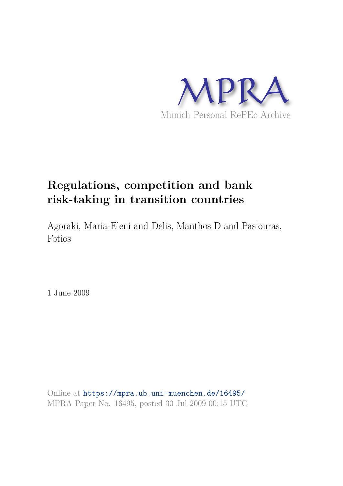

# **Regulations, competition and bank risk-taking in transition countries**

Agoraki, Maria-Eleni and Delis, Manthos D and Pasiouras, Fotios

1 June 2009

Online at https://mpra.ub.uni-muenchen.de/16495/ MPRA Paper No. 16495, posted 30 Jul 2009 00:15 UTC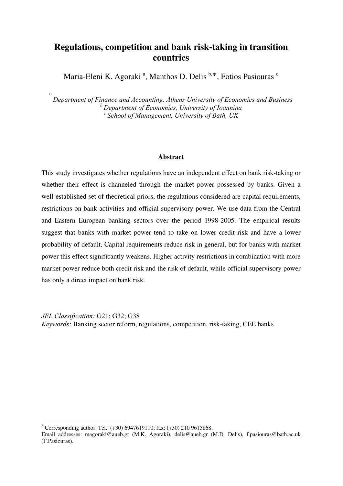# **Regulations, competition and bank risk-taking in transition countries**

Maria-Eleni K. Agoraki<sup>a</sup>, Manthos D. Delis<sup>b,\*</sup>, Fotios Pasiouras<sup>c</sup>

a *Department of Finance and Accounting, Athens University of Economics and Business <sup>b</sup>Department of Economics, University of Ioannina c School of Management, University of Bath, UK* 

#### **Abstract**

This study investigates whether regulations have an independent effect on bank risk-taking or whether their effect is channeled through the market power possessed by banks. Given a well-established set of theoretical priors, the regulations considered are capital requirements, restrictions on bank activities and official supervisory power. We use data from the Central and Eastern European banking sectors over the period 1998-2005. The empirical results suggest that banks with market power tend to take on lower credit risk and have a lower probability of default. Capital requirements reduce risk in general, but for banks with market power this effect significantly weakens. Higher activity restrictions in combination with more market power reduce both credit risk and the risk of default, while official supervisory power has only a direct impact on bank risk.

*JEL Classification:* G21; G32; G38 *Keywords:* Banking sector reform, regulations, competition, risk-taking, CEE banks

-

<sup>\*</sup> Corresponding author. Tel.: (+30) 6947619110; fax: (+30) 210 9615868.

Email addresses: magoraki@aueb.gr (M.K. Agoraki), delis@aueb.gr (M.D. Delis), f.pasiouras@bath.ac.uk (F.Pasiouras).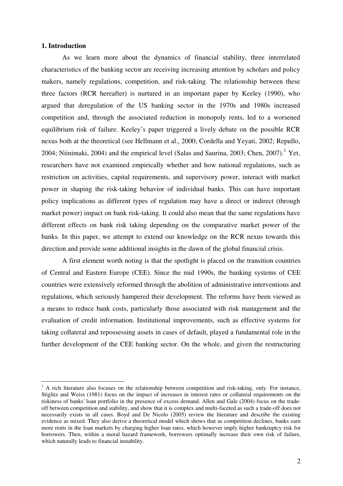# **1. Introduction**

<u>.</u>

As we learn more about the dynamics of financial stability, three interrelated characteristics of the banking sector are receiving increasing attention by scholars and policy makers, namely regulations, competition, and risk-taking. The relationship between these three factors (RCR hereafter) is nurtured in an important paper by Keeley (1990), who argued that deregulation of the US banking sector in the 1970s and 1980s increased competition and, through the associated reduction in monopoly rents, led to a worsened equilibrium risk of failure. Keeley's paper triggered a lively debate on the possible RCR nexus both at the theoretical (see Hellmann et al., 2000; Cordella and Yeyati, 2002; Repullo, 2004; Niinimaki, 2004) and the empirical level (Salas and Saurina, 2003; Chen, 2007).<sup>1</sup> Yet, researchers have not examined empirically whether and how national regulations, such as restriction on activities, capital requirements, and supervisory power, interact with market power in shaping the risk-taking behavior of individual banks. This can have important policy implications as different types of regulation may have a direct or indirect (through market power) impact on bank risk-taking. It could also mean that the same regulations have different effects on bank risk taking depending on the comparative market power of the banks. In this paper, we attempt to extend our knowledge on the RCR nexus towards this direction and provide some additional insights in the dawn of the global financial crisis.

A first element worth noting is that the spotlight is placed on the transition countries of Central and Eastern Europe (CEE). Since the mid 1990s, the banking systems of CEE countries were extensively reformed through the abolition of administrative interventions and regulations, which seriously hampered their development. The reforms have been viewed as a means to reduce bank costs, particularly those associated with risk management and the evaluation of credit information. Institutional improvements, such as effective systems for taking collateral and repossessing assets in cases of default, played a fundamental role in the further development of the CEE banking sector. On the whole, and given the restructuring

<sup>&</sup>lt;sup>1</sup> A rich literature also focuses on the relationship between competition and risk-taking, only. For instance, Stiglitz and Weiss (1981) focus on the impact of increases in interest rates or collateral requirements on the riskiness of banks' loan portfolio in the presence of excess demand. Allen and Gale (2004) focus on the tradeoff between competition and stability, and show that it is complex and multi-faceted as such a trade-off does not necessarily exists in all cases. Boyd and De Nicolo (2005) review the literature and describe the existing evidence as mixed. They also derive a theoretical model which shows that as competition declines, banks earn more rents in the loan markets by charging higher loan rates, which however imply higher bankruptcy risk for borrowers. Then, within a moral hazard framework, borrowers optimally increase their own risk of failure, which naturally leads to financial instability.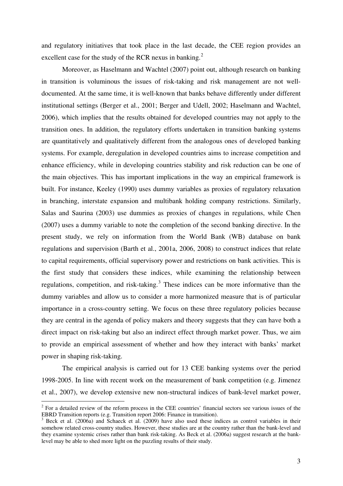and regulatory initiatives that took place in the last decade, the CEE region provides an excellent case for the study of the RCR nexus in banking. $2$ 

Moreover, as Haselmann and Wachtel (2007) point out, although research on banking in transition is voluminous the issues of risk-taking and risk management are not welldocumented. At the same time, it is well-known that banks behave differently under different institutional settings (Berger et al., 2001; Berger and Udell, 2002; Haselmann and Wachtel, 2006), which implies that the results obtained for developed countries may not apply to the transition ones. In addition, the regulatory efforts undertaken in transition banking systems are quantitatively and qualitatively different from the analogous ones of developed banking systems. For example, deregulation in developed countries aims to increase competition and enhance efficiency, while in developing countries stability and risk reduction can be one of the main objectives. This has important implications in the way an empirical framework is built. For instance, Keeley (1990) uses dummy variables as proxies of regulatory relaxation in branching, interstate expansion and multibank holding company restrictions. Similarly, Salas and Saurina (2003) use dummies as proxies of changes in regulations, while Chen (2007) uses a dummy variable to note the completion of the second banking directive. In the present study, we rely on information from the World Bank (WB) database on bank regulations and supervision (Barth et al., 2001a, 2006, 2008) to construct indices that relate to capital requirements, official supervisory power and restrictions on bank activities. This is the first study that considers these indices, while examining the relationship between regulations, competition, and risk-taking.<sup>3</sup> These indices can be more informative than the dummy variables and allow us to consider a more harmonized measure that is of particular importance in a cross-country setting. We focus on these three regulatory policies because they are central in the agenda of policy makers and theory suggests that they can have both a direct impact on risk-taking but also an indirect effect through market power. Thus, we aim to provide an empirical assessment of whether and how they interact with banks' market power in shaping risk-taking.

The empirical analysis is carried out for 13 CEE banking systems over the period 1998-2005. In line with recent work on the measurement of bank competition (e.g. Jimenez et al., 2007), we develop extensive new non-structural indices of bank-level market power,

<sup>&</sup>lt;sup>2</sup> For a detailed review of the reform process in the CEE countries' financial sectors see various issues of the EBRD Transition reports (e.g. Transition report 2006: Finance in transition).

<sup>&</sup>lt;sup>3</sup> Beck et al. (2006a) and Schaeck et al. (2009) have also used these indices as control variables in their somehow related cross-country studies. However, these studies are at the country rather than the bank-level and they examine systemic crises rather than bank risk-taking. As Beck et al. (2006a) suggest research at the banklevel may be able to shed more light on the puzzling results of their study.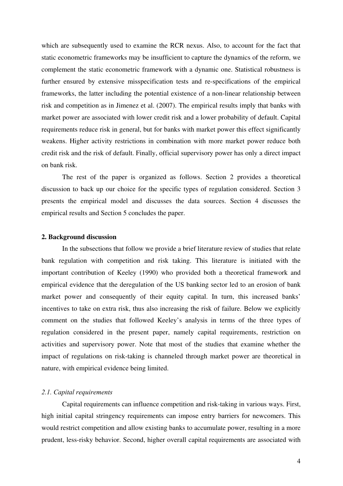which are subsequently used to examine the RCR nexus. Also, to account for the fact that static econometric frameworks may be insufficient to capture the dynamics of the reform, we complement the static econometric framework with a dynamic one. Statistical robustness is further ensured by extensive misspecification tests and re-specifications of the empirical frameworks, the latter including the potential existence of a non-linear relationship between risk and competition as in Jimenez et al. (2007). The empirical results imply that banks with market power are associated with lower credit risk and a lower probability of default. Capital requirements reduce risk in general, but for banks with market power this effect significantly weakens. Higher activity restrictions in combination with more market power reduce both credit risk and the risk of default. Finally, official supervisory power has only a direct impact on bank risk.

The rest of the paper is organized as follows. Section 2 provides a theoretical discussion to back up our choice for the specific types of regulation considered. Section 3 presents the empirical model and discusses the data sources. Section 4 discusses the empirical results and Section 5 concludes the paper.

# **2. Background discussion**

In the subsections that follow we provide a brief literature review of studies that relate bank regulation with competition and risk taking. This literature is initiated with the important contribution of Keeley (1990) who provided both a theoretical framework and empirical evidence that the deregulation of the US banking sector led to an erosion of bank market power and consequently of their equity capital. In turn, this increased banks' incentives to take on extra risk, thus also increasing the risk of failure. Below we explicitly comment on the studies that followed Keeley's analysis in terms of the three types of regulation considered in the present paper, namely capital requirements, restriction on activities and supervisory power. Note that most of the studies that examine whether the impact of regulations on risk-taking is channeled through market power are theoretical in nature, with empirical evidence being limited.

#### *2.1. Capital requirements*

Capital requirements can influence competition and risk-taking in various ways. First, high initial capital stringency requirements can impose entry barriers for newcomers. This would restrict competition and allow existing banks to accumulate power, resulting in a more prudent, less-risky behavior. Second, higher overall capital requirements are associated with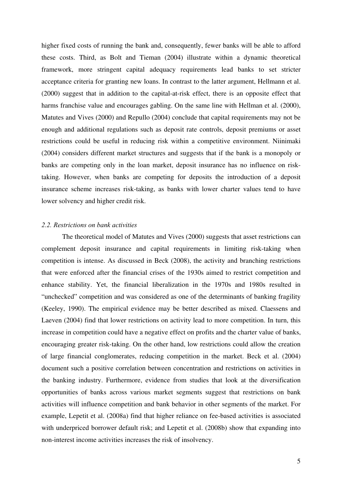higher fixed costs of running the bank and, consequently, fewer banks will be able to afford these costs. Third, as Bolt and Tieman (2004) illustrate within a dynamic theoretical framework, more stringent capital adequacy requirements lead banks to set stricter acceptance criteria for granting new loans. In contrast to the latter argument, Hellmann et al. (2000) suggest that in addition to the capital-at-risk effect, there is an opposite effect that harms franchise value and encourages gabling. On the same line with Hellman et al. (2000), Matutes and Vives (2000) and Repullo (2004) conclude that capital requirements may not be enough and additional regulations such as deposit rate controls, deposit premiums or asset restrictions could be useful in reducing risk within a competitive environment. Niinimaki (2004) considers different market structures and suggests that if the bank is a monopoly or banks are competing only in the loan market, deposit insurance has no influence on risktaking. However, when banks are competing for deposits the introduction of a deposit insurance scheme increases risk-taking, as banks with lower charter values tend to have lower solvency and higher credit risk.

# *2.2. Restrictions on bank activities*

The theoretical model of Matutes and Vives (2000) suggests that asset restrictions can complement deposit insurance and capital requirements in limiting risk-taking when competition is intense. As discussed in Beck (2008), the activity and branching restrictions that were enforced after the financial crises of the 1930s aimed to restrict competition and enhance stability. Yet, the financial liberalization in the 1970s and 1980s resulted in "unchecked" competition and was considered as one of the determinants of banking fragility (Keeley, 1990). The empirical evidence may be better described as mixed. Claessens and Laeven (2004) find that lower restrictions on activity lead to more competition. In turn, this increase in competition could have a negative effect on profits and the charter value of banks, encouraging greater risk-taking. On the other hand, low restrictions could allow the creation of large financial conglomerates, reducing competition in the market. Beck et al. (2004) document such a positive correlation between concentration and restrictions on activities in the banking industry. Furthermore, evidence from studies that look at the diversification opportunities of banks across various market segments suggest that restrictions on bank activities will influence competition and bank behavior in other segments of the market. For example, Lepetit et al. (2008a) find that higher reliance on fee-based activities is associated with underpriced borrower default risk; and Lepetit et al. (2008b) show that expanding into non-interest income activities increases the risk of insolvency.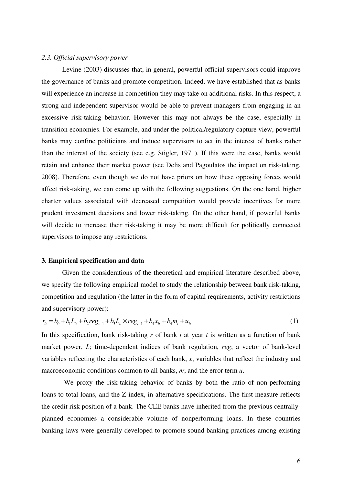# *2.3. Official supervisory power*

Levine (2003) discusses that, in general, powerful official supervisors could improve the governance of banks and promote competition. Indeed, we have established that as banks will experience an increase in competition they may take on additional risks. In this respect, a strong and independent supervisor would be able to prevent managers from engaging in an excessive risk-taking behavior. However this may not always be the case, especially in transition economies. For example, and under the political/regulatory capture view, powerful banks may confine politicians and induce supervisors to act in the interest of banks rather than the interest of the society (see e.g. Stigler, 1971). If this were the case, banks would retain and enhance their market power (see Delis and Pagoulatos the impact on risk-taking, 2008). Therefore, even though we do not have priors on how these opposing forces would affect risk-taking, we can come up with the following suggestions. On the one hand, higher charter values associated with decreased competition would provide incentives for more prudent investment decisions and lower risk-taking. On the other hand, if powerful banks will decide to increase their risk-taking it may be more difficult for politically connected supervisors to impose any restrictions.

#### **3. Empirical specification and data**

Given the considerations of the theoretical and empirical literature described above, we specify the following empirical model to study the relationship between bank risk-taking, competition and regulation (the latter in the form of capital requirements, activity restrictions and supervisory power):

$$
r_{it} = b_0 + b_1 L_{it} + b_2 reg_{t-1} + b_3 L_{it} \times reg_{t-1} + b_4 x_{it} + b_4 m_t + u_{it}
$$
\n(1)

In this specification, bank risk-taking *r* of bank *i* at year *t* is written as a function of bank market power, *L*; time-dependent indices of bank regulation, *reg*; a vector of bank-level variables reflecting the characteristics of each bank, *x*; variables that reflect the industry and macroeconomic conditions common to all banks, *m*; and the error term *u*.

 We proxy the risk-taking behavior of banks by both the ratio of non-performing loans to total loans, and the Z-index, in alternative specifications. The first measure reflects the credit risk position of a bank. The CEE banks have inherited from the previous centrallyplanned economies a considerable volume of nonperforming loans. In these countries banking laws were generally developed to promote sound banking practices among existing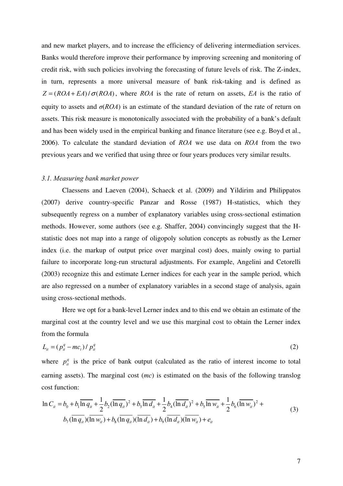and new market players, and to increase the efficiency of delivering intermediation services. Banks would therefore improve their performance by improving screening and monitoring of credit risk, with such policies involving the forecasting of future levels of risk. The Z-index, in turn, represents a more universal measure of bank risk-taking and is defined as  $Z = (ROA + EA)/\sigma (ROA)$ , where *ROA* is the rate of return on assets, *EA* is the ratio of equity to assets and  $\sigma(ROA)$  is an estimate of the standard deviation of the rate of return on assets. This risk measure is monotonically associated with the probability of a bank's default and has been widely used in the empirical banking and finance literature (see e.g. Boyd et al., 2006). To calculate the standard deviation of *ROA* we use data on *ROA* from the two previous years and we verified that using three or four years produces very similar results.

#### *3.1. Measuring bank market power*

Claessens and Laeven (2004), Schaeck et al. (2009) and Yildirim and Philippatos (2007) derive country-specific Panzar and Rosse (1987) H-statistics, which they subsequently regress on a number of explanatory variables using cross-sectional estimation methods. However, some authors (see e.g. Shaffer, 2004) convincingly suggest that the Hstatistic does not map into a range of oligopoly solution concepts as robustly as the Lerner index (i.e. the markup of output price over marginal cost) does, mainly owing to partial failure to incorporate long-run structural adjustments. For example, Angelini and Cetorelli (2003) recognize this and estimate Lerner indices for each year in the sample period, which are also regressed on a number of explanatory variables in a second stage of analysis, again using cross-sectional methods.

Here we opt for a bank-level Lerner index and to this end we obtain an estimate of the marginal cost at the country level and we use this marginal cost to obtain the Lerner index from the formula

$$
L_{it} = (p_{it}^q - mc_t) / p_{it}^q
$$
 (2)

where  $p_{it}^{q}$  is the price of bank output (calculated as the ratio of interest income to total earning assets). The marginal cost (*mc*) is estimated on the basis of the following translog cost function:

$$
\ln C_{ii} = b_0 + b_1 \overline{\ln q_{ii}} + \frac{1}{2} b_2 (\overline{\ln q_{ii}})^2 + b_3 \overline{\ln d_{ii}} + \frac{1}{2} b_4 (\overline{\ln d_{ii}})^2 + b_5 \overline{\ln w_{ii}} + \frac{1}{2} b_6 (\overline{\ln w_{ii}})^2 + b_7 (\overline{\ln q_{ii}}) (\overline{\ln w_{ii}}) + b_8 (\overline{\ln q_{ii}}) (\overline{\ln d_{ii}}) + b_9 (\overline{\ln d_{ii}}) (\overline{\ln w_{ii}}) + e_{ii}
$$
\n(3)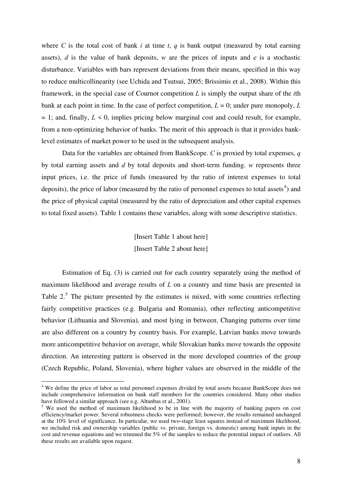where *C* is the total cost of bank *i* at time *t*, *q* is bank output (measured by total earning assets), *d* is the value of bank deposits, *w* are the prices of inputs and *e* is a stochastic disturbance. Variables with bars represent deviations from their means, specified in this way to reduce multicollinearity (see Uchida and Tsutsui, 2005; Brissimis et al., 2008). Within this framework, in the special case of Cournot competition *L* is simply the output share of the *i*th bank at each point in time. In the case of perfect competition,  $L = 0$ ; under pure monopoly,  $L$  $= 1$ ; and, finally,  $L \le 0$ , implies pricing below marginal cost and could result, for example, from a non-optimizing behavior of banks. The merit of this approach is that it provides banklevel estimates of market power to be used in the subsequent analysis.

Data for the variables are obtained from BankScope. *C* is proxied by total expenses, *q* by total earning assets and *d* by total deposits and short-term funding. *w* represents three input prices, i.e. the price of funds (measured by the ratio of interest expenses to total deposits), the price of labor (measured by the ratio of personnel expenses to total assets<sup>4</sup>) and the price of physical capital (measured by the ratio of depreciation and other capital expenses to total fixed assets). Table 1 contains these variables, along with some descriptive statistics.

> [Insert Table 1 about here] [Insert Table 2 about here]

Estimation of Eq. (3) is carried out for each country separately using the method of maximum likelihood and average results of *L* on a country and time basis are presented in Table  $2<sup>5</sup>$ . The picture presented by the estimates is mixed, with some countries reflecting fairly competitive practices (e.g. Bulgaria and Romania), other reflecting anticompetitive behavior (Lithuania and Slovenia), and most lying in between. Changing patterns over time are also different on a country by country basis. For example, Latvian banks move towards more anticompetitive behavior on average, while Slovakian banks move towards the opposite direction. An interesting pattern is observed in the more developed countries of the group (Czech Republic, Poland, Slovenia), where higher values are observed in the middle of the

<u>.</u>

<sup>&</sup>lt;sup>4</sup> We define the price of labor as total personnel expenses divided by total assets because BankScope does not include comprehensive information on bank staff members for the countries considered. Many other studies have followed a similar approach (see e.g. Altunbas et al., 2001).

<sup>&</sup>lt;sup>5</sup> We used the method of maximum likelihood to be in line with the majority of banking papers on cost efficiency/market power. Several robustness checks were performed; however, the results remained unchanged at the 10% level of significance. In particular, we used two-stage least squares instead of maximum likelihood, we included risk and ownership variables (public vs. private, foreign vs. domestic) among bank inputs in the cost and revenue equations and we trimmed the 5% of the samples to reduce the potential impact of outliers. All these results are available upon request.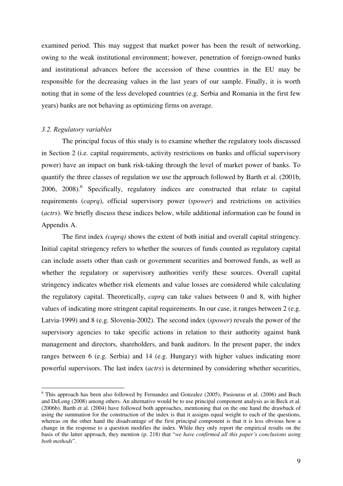examined period. This may suggest that market power has been the result of networking, owing to the weak institutional environment; however, penetration of foreign-owned banks and institutional advances before the accession of these countries in the EU may be responsible for the decreasing values in the last years of our sample. Finally, it is worth noting that in some of the less developed countries (e.g. Serbia and Romania in the first few years) banks are not behaving as optimizing firms on average.

#### *3.2. Regulatory variables*

-

The principal focus of this study is to examine whether the regulatory tools discussed in Section 2 (i.e. capital requirements, activity restrictions on banks and official supervisory power) have an impact on bank risk-taking through the level of market power of banks. To quantify the three classes of regulation we use the approach followed by Barth et al. (2001b, 2006, 2008).<sup>6</sup> Specifically, regulatory indices are constructed that relate to capital requirements (*caprq*), official supervisory power (*spower*) and restrictions on activities (*actrs*). We briefly discuss these indices below, while additional information can be found in Appendix A.

The first index *(caprq)* shows the extent of both initial and overall capital stringency. Initial capital stringency refers to whether the sources of funds counted as regulatory capital can include assets other than cash or government securities and borrowed funds, as well as whether the regulatory or supervisory authorities verify these sources. Overall capital stringency indicates whether risk elements and value losses are considered while calculating the regulatory capital. Theoretically, *caprq* can take values between 0 and 8, with higher values of indicating more stringent capital requirements. In our case, it ranges between 2 (e.g. Latvia-1999) and 8 (e.g. Slovenia-2002). The second index (*spower*) reveals the power of the supervisory agencies to take specific actions in relation to their authority against bank management and directors, shareholders, and bank auditors. In the present paper, the index ranges between 6 (e.g. Serbia) and 14 (e.g. Hungary) with higher values indicating more powerful supervisors. The last index (*actrs*) is determined by considering whether securities,

<sup>&</sup>lt;sup>6</sup> This approach has been also followed by Fernandez and Gonzalez (2005), Pasiouras et al. (2006) and Buch and DeLong (2008) among others. An alternative would be to use principal component analysis as in Beck et al. (2006b). Barth et al. (2004) have followed both approaches, mentioning that on the one hand the drawback of using the summation for the construction of the index is that it assigns equal weight to each of the questions, whereas on the other hand the disadvantage of the first principal component is that it is less obvious how a change in the response to a question modifies the index. While they only report the empirical results on the basis of the latter approach, they mention (p. 218) that "*we have confirmed all this paper's conclusions using both methods*".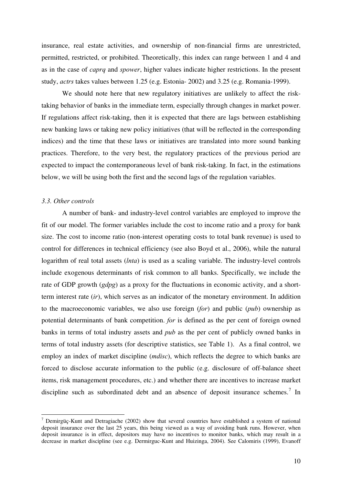insurance, real estate activities, and ownership of non-financial firms are unrestricted, permitted, restricted, or prohibited. Theoretically, this index can range between 1 and 4 and as in the case of *caprq* and *spower*, higher values indicate higher restrictions. In the present study, *actrs* takes values between 1.25 (e.g. Estonia- 2002) and 3.25 (e.g. Romania-1999).

We should note here that new regulatory initiatives are unlikely to affect the risktaking behavior of banks in the immediate term, especially through changes in market power. If regulations affect risk-taking, then it is expected that there are lags between establishing new banking laws or taking new policy initiatives (that will be reflected in the corresponding indices) and the time that these laws or initiatives are translated into more sound banking practices. Therefore, to the very best, the regulatory practices of the previous period are expected to impact the contemporaneous level of bank risk-taking. In fact, in the estimations below, we will be using both the first and the second lags of the regulation variables.

# *3.3. Other controls*

-

A number of bank- and industry-level control variables are employed to improve the fit of our model. The former variables include the cost to income ratio and a proxy for bank size. The cost to income ratio (non-interest operating costs to total bank revenue) is used to control for differences in technical efficiency (see also Boyd et al., 2006), while the natural logarithm of real total assets (*lnta*) is used as a scaling variable. The industry-level controls include exogenous determinants of risk common to all banks. Specifically, we include the rate of GDP growth (*gdpg*) as a proxy for the fluctuations in economic activity, and a shortterm interest rate (*ir*), which serves as an indicator of the monetary environment. In addition to the macroeconomic variables, we also use foreign (*for*) and public (*pub*) ownership as potential determinants of bank competition. *for* is defined as the per cent of foreign owned banks in terms of total industry assets and *pub* as the per cent of publicly owned banks in terms of total industry assets (for descriptive statistics, see Table 1). As a final control, we employ an index of market discipline (*mdisc*), which reflects the degree to which banks are forced to disclose accurate information to the public (e.g. disclosure of off-balance sheet items, risk management procedures, etc.) and whether there are incentives to increase market discipline such as subordinated debt and an absence of deposit insurance schemes.<sup>7</sup> In

<sup>&</sup>lt;sup>7</sup> Demirgüç-Kunt and Detragiache (2002) show that several countries have established a system of national deposit insurance over the last 25 years, this being viewed as a way of avoiding bank runs. However, when deposit insurance is in effect, depositors may have no incentives to monitor banks, which may result in a decrease in market discipline (see e.g. Dermirguc-Kunt and Huizinga, 2004). See Calomiris (1999), Evanoff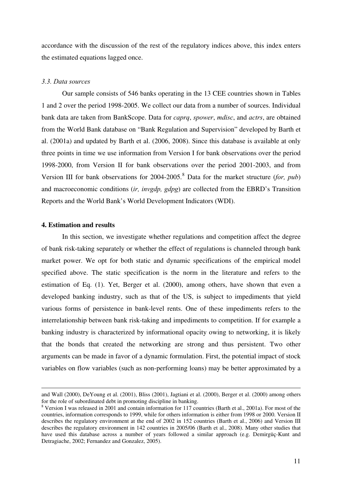accordance with the discussion of the rest of the regulatory indices above, this index enters the estimated equations lagged once.

## *3.3. Data sources*

Our sample consists of 546 banks operating in the 13 CEE countries shown in Tables 1 and 2 over the period 1998-2005. We collect our data from a number of sources. Individual bank data are taken from BankScope. Data for *caprq*, *spower*, *mdisc*, and *actrs*, are obtained from the World Bank database on "Bank Regulation and Supervision" developed by Barth et al. (2001a) and updated by Barth et al. (2006, 2008). Since this database is available at only three points in time we use information from Version I for bank observations over the period 1998-2000, from Version II for bank observations over the period 2001-2003, and from Version III for bank observations for 2004-2005.<sup>8</sup> Data for the market structure (*for, pub*) and macroeconomic conditions (*ir, invgdp, gdpg*) are collected from the EBRD's Transition Reports and the World Bank's World Development Indicators (WDI).

# **4. Estimation and results**

-

In this section, we investigate whether regulations and competition affect the degree of bank risk-taking separately or whether the effect of regulations is channeled through bank market power. We opt for both static and dynamic specifications of the empirical model specified above. The static specification is the norm in the literature and refers to the estimation of Eq. (1). Yet, Berger et al. (2000), among others, have shown that even a developed banking industry, such as that of the US, is subject to impediments that yield various forms of persistence in bank-level rents. One of these impediments refers to the interrelationship between bank risk-taking and impediments to competition. If for example a banking industry is characterized by informational opacity owing to networking, it is likely that the bonds that created the networking are strong and thus persistent. Two other arguments can be made in favor of a dynamic formulation. First, the potential impact of stock variables on flow variables (such as non-performing loans) may be better approximated by a

and Wall (2000), DeYoung et al. (2001), Bliss (2001), Jagtiani et al. (2000), Berger et al. (2000) among others for the role of subordinated debt in promoting discipline in banking.

<sup>&</sup>lt;sup>8</sup> Version I was released in 2001 and contain information for 117 countries (Barth et al., 2001a). For most of the countries, information corresponds to 1999, while for others information is either from 1998 or 2000. Version II describes the regulatory environment at the end of 2002 in 152 countries (Barth et al., 2006) and Version III describes the regulatory environment in 142 countries in 2005/06 (Barth et al., 2008). Many other studies that have used this database across a number of years followed a similar approach (e.g. Demirgüç-Kunt and Detragiache, 2002; Fernandez and Gonzalez, 2005).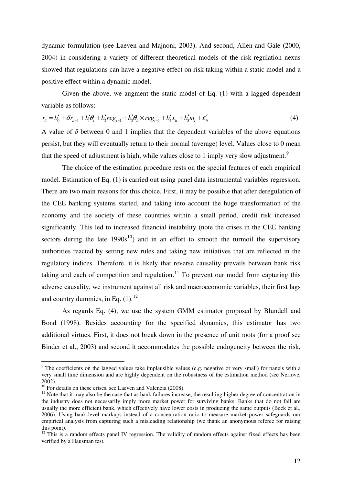dynamic formulation (see Laeven and Majnoni, 2003). And second, Allen and Gale (2000, 2004) in considering a variety of different theoretical models of the risk-regulation nexus showed that regulations can have a negative effect on risk taking within a static model and a positive effect within a dynamic model.

Given the above, we augment the static model of Eq. (1) with a lagged dependent variable as follows:

$$
r_{it} = b'_0 + \delta r_{it-1} + b'_1 \theta_t + b'_2 reg_{t-1} + b'_3 \theta_{it} \times reg_{t-1} + b'_4 x_{it} + b'_5 m_t + \varepsilon'_{it}
$$
(4)

A value of  $\delta$  between 0 and 1 implies that the dependent variables of the above equations persist, but they will eventually return to their normal (average) level. Values close to 0 mean that the speed of adjustment is high, while values close to 1 imply very slow adjustment.<sup>9</sup>

The choice of the estimation procedure rests on the special features of each empirical model. Estimation of Eq. (1) is carried out using panel data instrumental variables regression. There are two main reasons for this choice. First, it may be possible that after deregulation of the CEE banking systems started, and taking into account the huge transformation of the economy and the society of these countries within a small period, credit risk increased significantly. This led to increased financial instability (note the crises in the CEE banking sectors during the late  $1990s^{10}$  and in an effort to smooth the turmoil the supervisory authorities reacted by setting new rules and taking new initiatives that are reflected in the regulatory indices. Therefore, it is likely that reverse causality prevails between bank risk taking and each of competition and regulation.<sup>11</sup> To prevent our model from capturing this adverse causality, we instrument against all risk and macroeconomic variables, their first lags and country dummies, in Eq.  $(1)$ .<sup>12</sup>

As regards Eq. (4), we use the system GMM estimator proposed by Blundell and Bond (1998). Besides accounting for the specified dynamics, this estimator has two additional virtues. First, it does not break down in the presence of unit roots (for a proof see Binder et al., 2003) and second it accommodates the possible endogeneity between the risk,

<u>.</u>

<sup>&</sup>lt;sup>9</sup> The coefficients on the lagged values take implausible values (e.g. negative or very small) for panels with a very small time dimension and are highly dependent on the robustness of the estimation method (see Nerlove, 2002).

 $10$  For details on these crises, see Laeven and Valencia (2008).

 $11$  Note that it may also be the case that as bank failures increase, the resulting higher degree of concentration in the industry does not necessarily imply more market power for surviving banks. Banks that do not fail are usually the more efficient bank, which effectively have lower costs in producing the same outputs (Beck et al., 2006). Using bank-level markups instead of a concentration ratio to measure market power safeguards our empirical analysis from capturing such a misleading relationship (we thank an anonymous referee for raising this point).

<sup>&</sup>lt;sup>12</sup> This is a random effects panel IV regression. The validity of random effects against fixed effects has been verified by a Hausman test.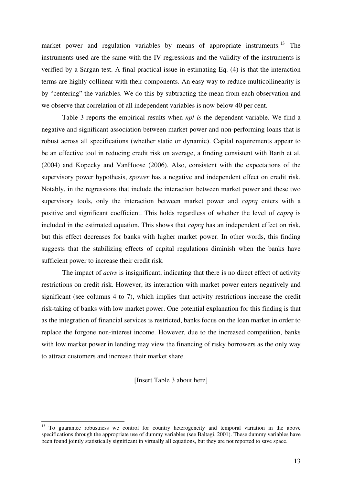market power and regulation variables by means of appropriate instruments.<sup>13</sup> The instruments used are the same with the IV regressions and the validity of the instruments is verified by a Sargan test. A final practical issue in estimating Eq. (4) is that the interaction terms are highly collinear with their components. An easy way to reduce multicollinearity is by "centering" the variables. We do this by subtracting the mean from each observation and we observe that correlation of all independent variables is now below 40 per cent.

Table 3 reports the empirical results when *npl is* the dependent variable. We find a negative and significant association between market power and non-performing loans that is robust across all specifications (whether static or dynamic). Capital requirements appear to be an effective tool in reducing credit risk on average, a finding consistent with Barth et al. (2004) and Kopecky and VanHoose (2006). Also, consistent with the expectations of the supervisory power hypothesis, *spower* has a negative and independent effect on credit risk. Notably, in the regressions that include the interaction between market power and these two supervisory tools, only the interaction between market power and *caprq* enters with a positive and significant coefficient. This holds regardless of whether the level of *caprq* is included in the estimated equation. This shows that *caprq* has an independent effect on risk, but this effect decreases for banks with higher market power. In other words, this finding suggests that the stabilizing effects of capital regulations diminish when the banks have sufficient power to increase their credit risk.

The impact of *actrs* is insignificant, indicating that there is no direct effect of activity restrictions on credit risk. However, its interaction with market power enters negatively and significant (see columns 4 to 7), which implies that activity restrictions increase the credit risk-taking of banks with low market power. One potential explanation for this finding is that as the integration of financial services is restricted, banks focus on the loan market in order to replace the forgone non-interest income. However, due to the increased competition, banks with low market power in lending may view the financing of risky borrowers as the only way to attract customers and increase their market share.

[Insert Table 3 about here]

-

<sup>&</sup>lt;sup>13</sup> To guarantee robustness we control for country heterogeneity and temporal variation in the above specifications through the appropriate use of dummy variables (see Baltagi, 2001). These dummy variables have been found jointly statistically significant in virtually all equations, but they are not reported to save space.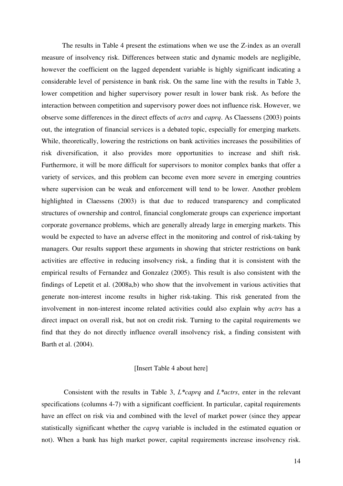The results in Table 4 present the estimations when we use the Z-index as an overall measure of insolvency risk. Differences between static and dynamic models are negligible, however the coefficient on the lagged dependent variable is highly significant indicating a considerable level of persistence in bank risk. On the same line with the results in Table 3, lower competition and higher supervisory power result in lower bank risk. As before the interaction between competition and supervisory power does not influence risk. However, we observe some differences in the direct effects of *actrs* and *caprq*. As Claessens (2003) points out, the integration of financial services is a debated topic, especially for emerging markets. While, theoretically, lowering the restrictions on bank activities increases the possibilities of risk diversification, it also provides more opportunities to increase and shift risk. Furthermore, it will be more difficult for supervisors to monitor complex banks that offer a variety of services, and this problem can become even more severe in emerging countries where supervision can be weak and enforcement will tend to be lower. Another problem highlighted in Claessens (2003) is that due to reduced transparency and complicated structures of ownership and control, financial conglomerate groups can experience important corporate governance problems, which are generally already large in emerging markets. This would be expected to have an adverse effect in the monitoring and control of risk-taking by managers. Our results support these arguments in showing that stricter restrictions on bank activities are effective in reducing insolvency risk, a finding that it is consistent with the empirical results of Fernandez and Gonzalez (2005). This result is also consistent with the findings of Lepetit et al. (2008a,b) who show that the involvement in various activities that generate non-interest income results in higher risk-taking. This risk generated from the involvement in non-interest income related activities could also explain why *actrs* has a direct impact on overall risk, but not on credit risk. Turning to the capital requirements we find that they do not directly influence overall insolvency risk, a finding consistent with Barth et al. (2004).

#### [Insert Table 4 about here]

 Consistent with the results in Table 3, *L\*caprq* and *L\*actrs*, enter in the relevant specifications (columns 4-7) with a significant coefficient. In particular, capital requirements have an effect on risk via and combined with the level of market power (since they appear statistically significant whether the *caprq* variable is included in the estimated equation or not). When a bank has high market power, capital requirements increase insolvency risk.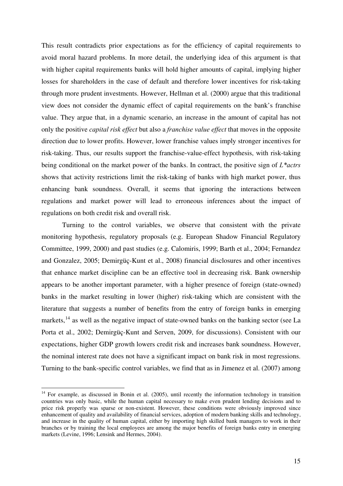This result contradicts prior expectations as for the efficiency of capital requirements to avoid moral hazard problems. In more detail, the underlying idea of this argument is that with higher capital requirements banks will hold higher amounts of capital, implying higher losses for shareholders in the case of default and therefore lower incentives for risk-taking through more prudent investments. However, Hellman et al. (2000) argue that this traditional view does not consider the dynamic effect of capital requirements on the bank's franchise value. They argue that, in a dynamic scenario, an increase in the amount of capital has not only the positive *capital risk effect* but also a *franchise value effect* that moves in the opposite direction due to lower profits. However, lower franchise values imply stronger incentives for risk-taking. Thus, our results support the franchise-value-effect hypothesis, with risk-taking being conditional on the market power of the banks. In contract, the positive sign of *L\*actrs* shows that activity restrictions limit the risk-taking of banks with high market power, thus enhancing bank soundness. Overall, it seems that ignoring the interactions between regulations and market power will lead to erroneous inferences about the impact of regulations on both credit risk and overall risk.

Turning to the control variables, we observe that consistent with the private monitoring hypothesis, regulatory proposals (e.g. European Shadow Financial Regulatory Committee, 1999, 2000) and past studies (e.g. Calomiris, 1999; Barth et al., 2004; Fernandez and Gonzalez, 2005; Demirgüç-Kunt et al., 2008) financial disclosures and other incentives that enhance market discipline can be an effective tool in decreasing risk. Bank ownership appears to be another important parameter, with a higher presence of foreign (state-owned) banks in the market resulting in lower (higher) risk-taking which are consistent with the literature that suggests a number of benefits from the entry of foreign banks in emerging markets,  $^{14}$  as well as the negative impact of state-owned banks on the banking sector (see La Porta et al., 2002; Demirgüç-Kunt and Serven, 2009, for discussions). Consistent with our expectations, higher GDP growth lowers credit risk and increases bank soundness. However, the nominal interest rate does not have a significant impact on bank risk in most regressions. Turning to the bank-specific control variables, we find that as in Jimenez et al. (2007) among

-

<sup>&</sup>lt;sup>14</sup> For example, as discussed in Bonin et al. (2005), until recently the information technology in transition countries was only basic, while the human capital necessary to make even prudent lending decisions and to price risk properly was sparse or non-existent. However, these conditions were obviously improved since enhancement of quality and availability of financial services, adoption of modern banking skills and technology, and increase in the quality of human capital, either by importing high skilled bank managers to work in their branches or by training the local employees are among the major benefits of foreign banks entry in emerging markets (Levine, 1996; Lensink and Hermes, 2004).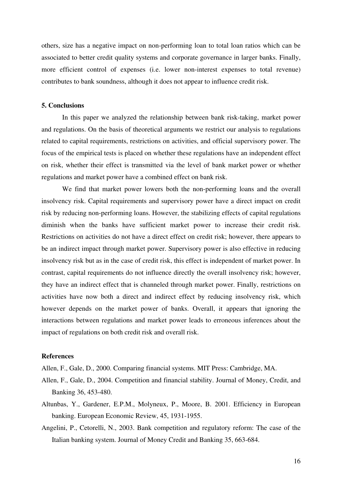others, size has a negative impact on non-performing loan to total loan ratios which can be associated to better credit quality systems and corporate governance in larger banks. Finally, more efficient control of expenses (i.e. lower non-interest expenses to total revenue) contributes to bank soundness, although it does not appear to influence credit risk.

#### **5. Conclusions**

 In this paper we analyzed the relationship between bank risk-taking, market power and regulations. On the basis of theoretical arguments we restrict our analysis to regulations related to capital requirements, restrictions on activities, and official supervisory power. The focus of the empirical tests is placed on whether these regulations have an independent effect on risk, whether their effect is transmitted via the level of bank market power or whether regulations and market power have a combined effect on bank risk.

We find that market power lowers both the non-performing loans and the overall insolvency risk. Capital requirements and supervisory power have a direct impact on credit risk by reducing non-performing loans. However, the stabilizing effects of capital regulations diminish when the banks have sufficient market power to increase their credit risk. Restrictions on activities do not have a direct effect on credit risk; however, there appears to be an indirect impact through market power. Supervisory power is also effective in reducing insolvency risk but as in the case of credit risk, this effect is independent of market power. In contrast, capital requirements do not influence directly the overall insolvency risk; however, they have an indirect effect that is channeled through market power. Finally, restrictions on activities have now both a direct and indirect effect by reducing insolvency risk, which however depends on the market power of banks. Overall, it appears that ignoring the interactions between regulations and market power leads to erroneous inferences about the impact of regulations on both credit risk and overall risk.

# **References**

Allen, F., Gale, D., 2000. Comparing financial systems. MIT Press: Cambridge, MA.

- Allen, F., Gale, D., 2004. Competition and financial stability. Journal of Money, Credit, and Banking 36, 453-480.
- Altunbas, Y., Gardener, E.P.M., Molyneux, P., Moore, B. 2001. Efficiency in European banking. European Economic Review, 45, 1931-1955.
- Angelini, P., Cetorelli, N., 2003. Bank competition and regulatory reform: The case of the Italian banking system. Journal of Money Credit and Banking 35, 663-684.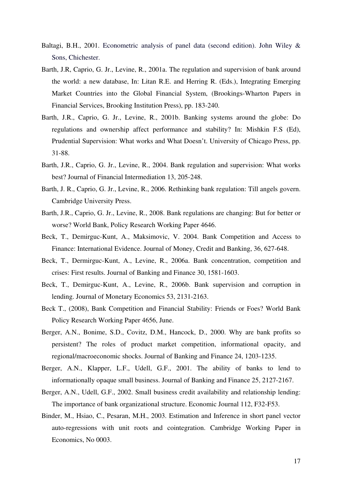- Baltagi, B.H., 2001. Econometric analysis of panel data (second edition). John Wiley & Sons, Chichester.
- Barth, J.R, Caprio, G. Jr., Levine, R., 2001a. The regulation and supervision of bank around the world: a new database, In: Litan R.E. and Herring R. (Eds.), Integrating Emerging Market Countries into the Global Financial System, (Brookings-Wharton Papers in Financial Services, Brooking Institution Press), pp. 183-240.
- Barth, J.R., Caprio, G. Jr., Levine, R., 2001b. Banking systems around the globe: Do regulations and ownership affect performance and stability? In: Mishkin F.S (Ed), Prudential Supervision: What works and What Doesn't. University of Chicago Press, pp. 31-88.
- Barth, J.R., Caprio, G. Jr., Levine, R., 2004. Bank regulation and supervision: What works best? Journal of Financial Intermediation 13, 205-248.
- Barth, J. R., Caprio, G. Jr., Levine, R., 2006. Rethinking bank regulation: Till angels govern. Cambridge University Press.
- Barth, J.R., Caprio, G. Jr., Levine, R., 2008. Bank regulations are changing: But for better or worse? World Bank, Policy Research Working Paper 4646.
- Beck, T., Demirguc-Kunt, A., Maksimovic, V. 2004. Bank Competition and Access to Finance: International Evidence. Journal of Money, Credit and Banking, 36, 627-648.
- Beck, T., Dermirguc-Kunt, A., Levine, R., 2006a. Bank concentration, competition and crises: First results. Journal of Banking and Finance 30, 1581-1603.
- Beck, T., Demirguc-Kunt, A., Levine, R., 2006b. Bank supervision and corruption in lending. Journal of Monetary Economics 53, 2131-2163.
- Beck T., (2008), Bank Competition and Financial Stability: Friends or Foes? World Bank Policy Research Working Paper 4656, June.
- Berger, A.N., Bonime, S.D., Covitz, D.M., Hancock, D., 2000. Why are bank profits so persistent? The roles of product market competition, informational opacity, and regional/macroeconomic shocks. Journal of Banking and Finance 24, 1203-1235.
- Berger, A.N., Klapper, L.F., Udell, G.F., 2001. The ability of banks to lend to informationally opaque small business. Journal of Banking and Finance 25, 2127-2167.
- Berger, A.N., Udell, G.F., 2002. Small business credit availability and relationship lending: The importance of bank organizational structure. Economic Journal 112, F32-F53.
- Binder, M., Hsiao, C., Pesaran, M.H., 2003. Estimation and Inference in short panel vector auto-regressions with unit roots and cointegration. Cambridge Working Paper in Economics, No 0003.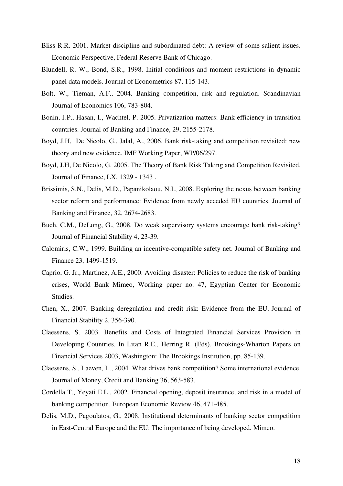- Bliss R.R. 2001. Market discipline and subordinated debt: A review of some salient issues. Economic Perspective, Federal Reserve Bank of Chicago.
- Blundell, R. W., Bond, S.R., 1998. Initial conditions and moment restrictions in dynamic panel data models. Journal of Econometrics 87, 115-143.
- Bolt, W., Tieman, A.F., 2004. Banking competition, risk and regulation. Scandinavian Journal of Economics 106, 783-804.
- Bonin, J.P., Hasan, I., Wachtel, P. 2005. Privatization matters: Bank efficiency in transition countries. Journal of Banking and Finance, 29, 2155-2178.
- Boyd, J.H, De Nicolo, G., Jalal, A., 2006. Bank risk-taking and competition revisited: new theory and new evidence. IMF Working Paper, WP/06/297.
- Boyd, J.H, De Nicolo, G. 2005. The Theory of Bank Risk Taking and Competition Revisited. Journal of Finance, LX, 1329 - 1343 .
- Brissimis, S.N., Delis, M.D., Papanikolaou, N.I., 2008. Exploring the nexus between banking sector reform and performance: Evidence from newly acceded EU countries. Journal of Banking and Finance, 32, 2674-2683.
- Buch, C.M., DeLong, G., 2008. Do weak supervisory systems encourage bank risk-taking? Journal of Financial Stability 4, 23-39.
- Calomiris, C.W., 1999. Building an incentive-compatible safety net. Journal of Banking and Finance 23, 1499-1519.
- Caprio, G. Jr., Martinez, A.E., 2000. Avoiding disaster: Policies to reduce the risk of banking crises, World Bank Mimeo, Working paper no. 47, Egyptian Center for Economic Studies.
- Chen, X., 2007. Banking deregulation and credit risk: Evidence from the EU. Journal of Financial Stability 2, 356-390.
- Claessens, S. 2003. Benefits and Costs of Integrated Financial Services Provision in Developing Countries. In Litan R.E., Herring R. (Eds), Brookings-Wharton Papers on Financial Services 2003, Washington: The Brookings Institution, pp. 85-139.
- Claessens, S., Laeven, L., 2004. What drives bank competition? Some international evidence. Journal of Money, Credit and Banking 36, 563-583.
- Cordella T., Yeyati E.L., 2002. Financial opening, deposit insurance, and risk in a model of banking competition. European Economic Review 46, 471-485.
- Delis, M.D., Pagoulatos, G., 2008. Institutional determinants of banking sector competition in East-Central Europe and the EU: The importance of being developed. Mimeo.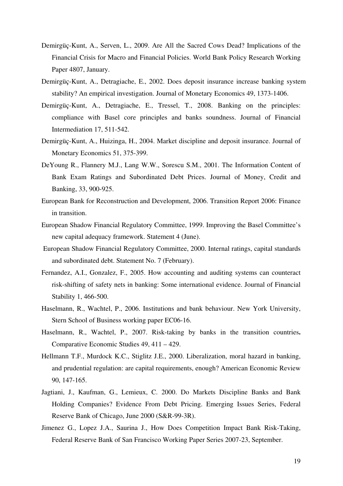- Demirgüç-Kunt, A., Serven, L., 2009. Are All the Sacred Cows Dead? Implications of the Financial Crisis for Macro and Financial Policies. World Bank Policy Research Working Paper 4807, January.
- Demirgüç-Kunt, A., Detragiache, E., 2002. Does deposit insurance increase banking system stability? An empirical investigation. Journal of Monetary Economics 49, 1373-1406.
- Demirgüç-Kunt, A., Detragiache, E., Tressel, T., 2008. Banking on the principles: compliance with Basel core principles and banks soundness. Journal of Financial Intermediation 17, 511-542.
- Demirgüç-Kunt, A., Huizinga, H., 2004. Market discipline and deposit insurance. Journal of Monetary Economics 51, 375-399.
- DeYoung R., Flannery M.J., Lang W.W., Sorescu S.M., 2001. The Information Content of Bank Exam Ratings and Subordinated Debt Prices. Journal of Money, Credit and Banking, 33, 900-925.
- European Bank for Reconstruction and Development, 2006. Transition Report 2006: Finance in transition.
- European Shadow Financial Regulatory Committee, 1999. Improving the Basel Committee's new capital adequacy framework. Statement 4 (June).
- European Shadow Financial Regulatory Committee, 2000. Internal ratings, capital standards and subordinated debt. Statement No. 7 (February).
- Fernandez, A.I., Gonzalez, F., 2005. How accounting and auditing systems can counteract risk-shifting of safety nets in banking: Some international evidence. Journal of Financial Stability 1, 466-500.
- Haselmann, R., Wachtel, P., 2006. Institutions and bank behaviour. New York University, Stern School of Business working paper EC06-16.
- Haselmann, R., Wachtel, P., 2007. Risk-taking by banks in the transition countries**.**  Comparative Economic Studies 49, 411 – 429.
- Hellmann T.F., Murdock K.C., Stiglitz J.E., 2000. Liberalization, moral hazard in banking, and prudential regulation: are capital requirements, enough? American Economic Review 90, 147-165.
- Jagtiani, J., Kaufman, G., Lemieux, C. 2000. Do Markets Discipline Banks and Bank Holding Companies? Evidence From Debt Pricing. Emerging Issues Series, Federal Reserve Bank of Chicago, June 2000 (S&R-99-3R).
- Jimenez G., Lopez J.A., Saurina J., How Does Competition Impact Bank Risk-Taking, Federal Reserve Bank of San Francisco Working Paper Series 2007-23, September.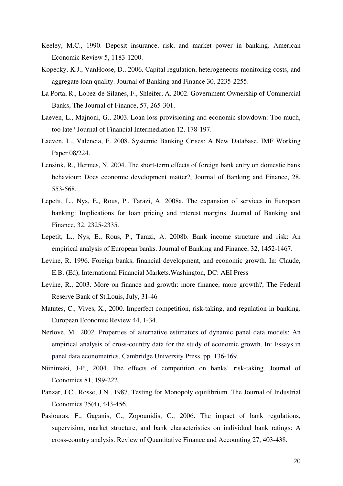- Keeley, M.C., 1990. Deposit insurance, risk, and market power in banking. American Economic Review 5, 1183-1200.
- Kopecky, K.J., VanHoose, D., 2006. Capital regulation, heterogeneous monitoring costs, and aggregate loan quality. Journal of Banking and Finance 30, 2235-2255.
- La Porta, R., Lopez-de-Silanes, F., Shleifer, A. 2002. Government Ownership of Commercial Banks, The Journal of Finance, 57, 265-301.
- Laeven, L., Majnoni, G., 2003. Loan loss provisioning and economic slowdown: Too much, too late? Journal of Financial Intermediation 12, 178-197.
- Laeven, L., Valencia, F. 2008. Systemic Banking Crises: A New Database. IMF Working Paper 08/224.
- Lensink, R., Hermes, N. 2004. The short-term effects of foreign bank entry on domestic bank behaviour: Does economic development matter?, Journal of Banking and Finance, 28, 553-568.
- Lepetit, L., Nys, E., Rous, P., Tarazi, A. 2008a. The expansion of services in European banking: Implications for loan pricing and interest margins. Journal of Banking and Finance, 32, 2325-2335.
- Lepetit, L., Nys, E., Rous, P., Tarazi, A. 2008b. Bank income structure and risk: An empirical analysis of European banks. Journal of Banking and Finance, 32, 1452-1467.
- Levine, R. 1996. Foreign banks, financial development, and economic growth. In: Claude, E.B. (Ed), International Financial Markets.Washington, DC: AEI Press
- Levine, R., 2003. More on finance and growth: more finance, more growth?, The Federal Reserve Bank of St.Louis, July, 31-46
- Matutes, C., Vives, X., 2000. Imperfect competition, risk-taking, and regulation in banking. European Economic Review 44, 1-34.
- Nerlove, M., 2002. Properties of alternative estimators of dynamic panel data models: An empirical analysis of cross-country data for the study of economic growth. In: Essays in panel data econometrics, Cambridge University Press, pp. 136-169.
- Niinimaki, J-P., 2004. The effects of competition on banks' risk-taking. Journal of Economics 81, 199-222.
- Panzar, J.C., Rosse, J.N., 1987. Testing for Monopoly equilibrium. The Journal of Industrial Economics 35(4), 443-456.
- Pasiouras, F., Gaganis, C., Zopounidis, C., 2006. The impact of bank regulations, supervision, market structure, and bank characteristics on individual bank ratings: A cross-country analysis. Review of Quantitative Finance and Accounting 27, 403-438.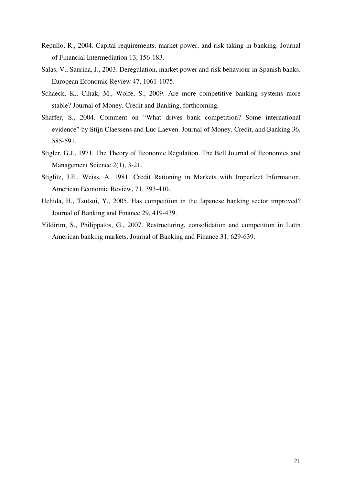- Repullo, R., 2004. Capital requirements, market power, and risk-taking in banking. Journal of Financial Intermediation 13, 156-183.
- Salas, V., Saurina, J., 2003. Deregulation, market power and risk behaviour in Spanish banks. European Economic Review 47, 1061-1075.
- Schaeck, K., Cihak, M., Wolfe, S., 2009. Are more competitive banking systems more stable? Journal of Money, Credit and Banking, forthcoming.
- Shaffer, S., 2004. Comment on "What drives bank competition? Some international evidence" by Stijn Claessens and Luc Laeven. Journal of Money, Credit, and Banking 36, 585-591.
- Stigler, G.J., 1971. The Theory of Economic Regulation. The Bell Journal of Economics and Management Science 2(1), 3-21.
- Stiglitz, J.E., Weiss, A. 1981. Credit Rationing in Markets with Imperfect Information. American Economic Review, 71, 393-410.
- Uchida, H., Tsutsui, Y., 2005. Has competition in the Japanese banking sector improved? Journal of Banking and Finance 29, 419-439.
- Yildirim, S., Philippatos, G., 2007. Restructuring, consolidation and competition in Latin American banking markets. Journal of Banking and Finance 31, 629-639.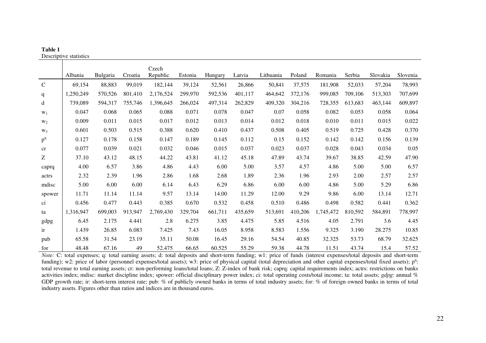|              | Desemptive statistics |                 |         |                   |         |         |         |           |         |           |         |          |          |
|--------------|-----------------------|-----------------|---------|-------------------|---------|---------|---------|-----------|---------|-----------|---------|----------|----------|
|              | Albania               | <b>Bulgaria</b> | Croatia | Czech<br>Republic | Estonia | Hungary | Latvia  | Lithuania | Poland  | Romania   | Serbia  | Slovakia | Slovenia |
| $\mathsf{C}$ | 69,154                | 88,883          | 99,019  | 182,144           | 39,124  |         | 26,866  | 50,841    | 37,575  | 181,908   | 52,033  | 57,204   | 78,993   |
|              |                       |                 |         |                   |         | 52,561  |         |           |         |           |         |          |          |
| $\mathbf{q}$ | 1,250,249             | 570,526         | 801,410 | 2,176,524         | 299,970 | 592,536 | 401,117 | 464,642   | 372,176 | 999,085   | 709,106 | 513,303  | 707,699  |
| d            | 739,089               | 594,317         | 755,746 | 1,396,645         | 266,024 | 497,314 | 262,829 | 409,320   | 304,216 | 728,355   | 613,683 | 463,144  | 609,897  |
| $W_1$        | 0.047                 | 0.068           | 0.065   | 0.088             | 0.071   | 0.078   | 0.047   | 0.07      | 0.058   | 0.082     | 0.053   | 0.058    | 0.064    |
| $W_2$        | 0.009                 | 0.011           | 0.015   | 0.017             | 0.012   | 0.013   | 0.014   | 0.012     | 0.018   | 0.010     | 0.011   | 0.015    | 0.022    |
| $W_3$        | 0.601                 | 0.503           | 0.515   | 0.388             | 0.620   | 0.410   | 0.437   | 0.508     | 0.405   | 0.519     | 0.725   | 0.428    | 0.370    |
| $p^{q}$      | 0.127                 | 0.178           | 0.158   | 0.147             | 0.189   | 0.145   | 0.112   | 0.15      | 0.152   | 0.142     | 0.142   | 0.156    | 0.139    |
| cr           | 0.077                 | 0.039           | 0.021   | 0.032             | 0.046   | 0.015   | 0.037   | 0.023     | 0.037   | 0.028     | 0.043   | 0.034    | 0.05     |
| Z            | 37.10                 | 43.12           | 48.15   | 44.22             | 43.81   | 41.12   | 45.18   | 47.89     | 43.74   | 39.67     | 38.85   | 42.59    | 47.90    |
| caprq        | 4.00                  | 6.57            | 3.86    | 4.86              | 4.43    | 6.00    | 5.00    | 3.57      | 4.57    | 4.86      | 5.00    | 5.00     | 6.57     |
| actrs        | 2.32                  | 2.39            | 1.96    | 2.86              | 1.68    | 2.68    | 1.89    | 2.36      | 1.96    | 2.93      | 2.00    | 2.57     | 2.57     |
| mdisc        | 5.00                  | 6.00            | 6.00    | 6.14              | 6.43    | 6.29    | 6.86    | 6.00      | 6.00    | 4.86      | 5.00    | 5.29     | 6.86     |
| spower       | 11.71                 | 11.14           | 11.14   | 9.57              | 13.14   | 14.00   | 11.29   | 12.00     | 9.29    | 9.86      | 6.00    | 13.14    | 12.71    |
| ci           | 0.456                 | 0.477           | 0.443   | 0.385             | 0.670   | 0.532   | 0.458   | 0.510     | 0.486   | 0.498     | 0.582   | 0.441    | 0.362    |
| ta           | 1,316,947             | 699,003         | 913,947 | 2,769,430         | 329,704 | 661,711 | 435,659 | 513,691   | 410,206 | 1,745,472 | 810,592 | 584,891  | 778,997  |
| gdpg         | 6.45                  | 2.175           | 4.441   | 2.8               | 6.275   | 3.85    | 4.475   | 5.85      | 4.516   | 4.05      | 2.791   | 3.6      | 4.45     |
| ir           | 1.439                 | 26.85           | 6.083   | 7.425             | 7.43    | 16.05   | 8.958   | 8.583     | 1.556   | 9.325     | 3.190   | 28.275   | 10.85    |
| pub          | 65.58                 | 31.54           | 23.19   | 35.11             | 50.08   | 16.45   | 29.16   | 54.54     | 40.85   | 32.325    | 53.73   | 68.79    | 32.625   |
| for          | 48.48                 | 67.16           | 49      | 52.475            | 66.65   | 60.525  | 55.29   | 59.38     | 44.78   | 11.51     | 43.74   | 15.4     | 57.52    |

**Table 1**  Descriptive statistics

*Note:* C: total expenses; q: total earning assets; d: total deposits and short-term funding; w1: price of funds (interest expenses/total deposits and short-term funding); w2: price of labor (personnel expenses/total assets); w3: price of physical capital (total depreciation and other capital expenses/total fixed assets); p<sup>q</sup>: total revenue to total earning assets; cr: non-performing loans/total loans; Z: Z-index of bank risk; caprq: capital requirements index; actrs: restrictions on banks activities index; mdisc: market discipline index; spower: official disciplinary power index; ci: total operating costs/total income; ta: total assets; *gdpg*: annual % GDP growth rate; ir: short-term interest rate; pub: % of publicly owned banks in terms of total industry assets; for: % of foreign owned banks in terms of total industry assets. Figures other than ratios and indices are in thousand euros.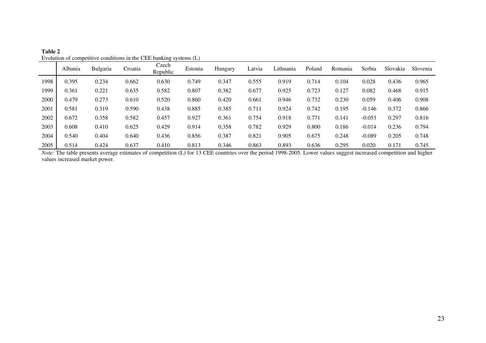|      |         |                 |         | $E$ order of competitive conditions in the case of $\min_{i}$ systems $(E)$ |         |         |        |           |        |         |          |          |          |
|------|---------|-----------------|---------|-----------------------------------------------------------------------------|---------|---------|--------|-----------|--------|---------|----------|----------|----------|
|      | Albania | <b>Bulgaria</b> | Croatia | Czech<br>Republic                                                           | Estonia | Hungary | Latvia | Lithuania | Poland | Romania | Serbia   | Slovakia | Slovenia |
| 1998 | 0.395   | 0.234           | 0.662   | 0.630                                                                       | 0.749   | 0.347   | 0.555  | 0.919     | 0.714  | 0.104   | 0.028    | 0.436    | 0.965    |
| 1999 | 0.361   | 0.221           | 0.635   | 0.582                                                                       | 0.807   | 0.382   | 0.677  | 0.925     | 0.723  | 0.127   | 0.082    | 0.468    | 0.915    |
| 2000 | 0.479   | 0.273           | 0.610   | 0.520                                                                       | 0.860   | 0.420   | 0.661  | 0.946     | 0.732  | 0.230   | 0.059    | 0.406    | 0.908    |
| 2001 | 0.581   | 0.319           | 0.590   | 0.438                                                                       | 0.885   | 0.385   | 0.711  | 0.924     | 0.742  | 0.195   | $-0.146$ | 0.372    | 0.866    |
| 2002 | 0.672   | 0.358           | 0.582   | 0.457                                                                       | 0.927   | 0.361   | 0.754  | 0.918     | 0.771  | 0.141   | $-0.053$ | 0.297    | 0.816    |
| 2003 | 0.608   | 0.410           | 0.625   | 0.429                                                                       | 0.914   | 0.358   | 0.782  | 0.929     | 0.800  | 0.186   | $-0.014$ | 0.236    | 0.794    |
| 2004 | 0.540   | 0.404           | 0.640   | 0.436                                                                       | 0.856   | 0.387   | 0.821  | 0.905     | 0.675  | 0.248   | $-0.089$ | 0.205    | 0.748    |
| 2005 | 0.514   | 0.424           | 0.637   | 0.410                                                                       | 0.813   | 0.346   | 0.863  | 0.893     | 0.636  | 0.295   | 0.020    | 0.171    | 0.745    |

**Table 2**  Evolution of competitive conditions in the CEE banking systems (L)

*Note:* The table presents average estimates of competition (L) for 13 CEE countries over the period 1998-2005. Lower values suggest increased competition and higher values increased market power.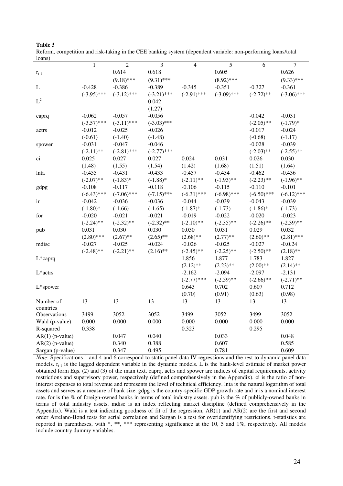|                   | $\mathbf{1}$  | $\overline{2}$ | $\mathfrak{Z}$ | $\overline{4}$ | 5             | 6             | $\boldsymbol{7}$ |
|-------------------|---------------|----------------|----------------|----------------|---------------|---------------|------------------|
| $r_{t-1}$         |               | 0.614          | 0.618          |                | 0.605         |               | 0.626            |
|                   |               | $(9.18)$ ***   | $(9.31)$ ***   |                | $(8.92)$ ***  |               | $(9.33)$ ***     |
| L                 | $-0.428$      | $-0.386$       | $-0.389$       | $-0.345$       | $-0.351$      | $-0.327$      | $-0.361$         |
|                   | $(-3.95)$ *** | $(-3.12)$ ***  | $(-3.21)$ ***  | $(-2.91)$ ***  | $(-3.09)$ *** | $(-2.72)$ **  | $(-3.06)$ ***    |
| $\mbox{L}^2$      |               |                | 0.042          |                |               |               |                  |
|                   |               |                | (1.27)         |                |               |               |                  |
| caprq             | $-0.062$      | $-0.057$       | $-0.056$       |                |               | $-0.042$      | $-0.031$         |
|                   | $(-3.57)$ *** | $(-3.11)$ ***  | $(-3.03)$ ***  |                |               | $(-2.05)$ **  | $(-1.79)*$       |
| actrs             | $-0.012$      | $-0.025$       | $-0.026$       |                |               | $-0.017$      | $-0.024$         |
|                   | $(-0.61)$     | $(-1.40)$      | $(-1.48)$      |                |               | $(-0.68)$     | $(-1.17)$        |
| spower            | $-0.031$      | $-0.047$       | $-0.046$       |                |               | $-0.028$      | $-0.039$         |
|                   | $(-2.11)$ **  | $(-2.81)$ ***  | $(-2.77)$ ***  |                |               | $(-2.03)$ **  | $(-2.55)$ **     |
| ci                | 0.025         | 0.027          | 0.027          | 0.024          | 0.031         | 0.026         | 0.030            |
|                   | (1.48)        | (1.55)         | (1.54)         | (1.42)         | (1.68)        | (1.51)        | (1.64)           |
| lnta              | $-0.455$      | $-0.431$       | $-0.433$       | $-0.457$       | $-0.434$      | $-0.462$      | $-0.436$         |
|                   | $(-2.07)$ **  | $(-1.83)*$     | $(-1.88)$ *    | $(-2.11)$ **   | $(-1.93)$ **  | $(-2.23)$ **  | $(-1.96)$ **     |
| gdpg              | $-0.108$      | $-0.117$       | $-0.118$       | $-0.106$       | $-0.115$      | $-0.110$      | $-0.101$         |
|                   | $(-6.43)$ *** | $(-7.06)$ ***  | $(-7.15)$ ***  | $(-6.31)$ ***  | $(-6.98)$ *** | $(-6.50)$ *** | $(-6.12)$ ***    |
| ir                | $-0.042$      | $-0.036$       | $-0.036$       | $-0.044$       | $-0.039$      | $-0.043$      | $-0.039$         |
|                   | $(-1.80)$ *   | $(-1.66)$      | $(-1.65)$      | $(-1.87)$ *    | $(-1.73)$     | $(-1.86)$ *   | $(-1.73)$        |
| for               | $-0.020$      | $-0.021$       | $-0.021$       | $-0.019$       | $-0.022$      | $-0.020$      | $-0.023$         |
|                   | $(-2.24)$ **  | $(-2.32)$ **   | $(-2.32)$ **   | $(-2.10)$ **   | $(-2.35)$ **  | $(-2.26)$ **  | $(-2.39)$ **     |
| pub               | 0.031         | 0.030          | 0.030          | 0.030          | 0.031         | 0.029         | 0.032            |
|                   | $(2.80)$ ***  | $(2.67)$ **    | $(2.65)$ **    | $(2.68)$ **    | $(2.77)$ **   | $(2.60)$ **   | $(2.81)$ ***     |
| mdisc             | $-0.027$      | $-0.025$       | $-0.024$       | $-0.026$       | $-0.025$      | $-0.027$      | $-0.0.24$        |
|                   | $(-2.48)$ **  | $(-2.21)$ **   | $(2.16)$ **    | $(-2.45)$ **   | $(-2.25)$ **  | $(-2.50)$ **  | $(2.18)$ **      |
| L*caprq           |               |                |                | 1.856          | 1.877         | 1.783         | 1.827            |
|                   |               |                |                | $(2.12)$ **    | $(2.23)$ **   | $(2.00)$ **   | $(2.14)$ **      |
| L*actrs           |               |                |                | $-2.162$       | $-2.094$      | $-2.097$      | $-2.131$         |
|                   |               |                |                | $(-2.77)$ ***  | $(-2.59)$ **  | $(-2.66)$ **  | $(-2.71)$ **     |
| L*spower          |               |                |                | 0.643          | 0.702         | 0.607         | 0.712            |
|                   |               |                |                | (0.70)         | (0.91)        | (0.63)        | (0.98)           |
| Number of         | 13            | 13             | 13             | 13             | 13            | 13            | 13               |
| countries         |               |                |                |                |               |               |                  |
| Observations      | 3499          | 3052           | 3052           | 3499           | 3052          | 3499          | 3052             |
| Wald (p-value)    | 0.000         | 0.000          | 0.000          | 0.000          | 0.000         | 0.000         | 0.000            |
| R-squared         | 0.338         |                |                | 0.323          |               | 0.295         |                  |
| $AR(1)$ (p-value) |               | 0.047          | 0.040          |                | 0.033         |               | 0.048            |
| $AR(2)$ (p-value) |               | 0.340          | 0.388          |                | 0.607         |               | 0.585            |
| Sargan (p-value)  |               | 0.347          | 0.495          |                | 0.781         |               | 0.609            |

| Table 3                                                                                                       |  |
|---------------------------------------------------------------------------------------------------------------|--|
| Reform, competition and risk-taking in the CEE banking system (dependent variable: non-performing loans/total |  |
| loans)                                                                                                        |  |

*Note*: Specifications 1 and 4 and 6 correspond to static panel data IV regressions and the rest to dynamic panel data models.  $r_{t-1}$  is the lagged dependent variable in the dynamic models. L is the bank-level estimate of market power obtained form Eqs. (2) and (3) of the main text. caprq, actrs and spower are indices of capital requirements, activity restrictions and supervisory power, respectively (defined comprehensively in the Appendix). ci is the ratio of noninterest expenses to total revenue and represents the level of technical efficiency. lnta is the natural logarithm of total assets and serves as a measure of bank size. gdpg is the country-specific GDP growth rate and ir is a nominal interest rate. for is the % of foreign-owned banks in terms of total industry assets. pub is the % of publicly-owned banks in terms of total industry assets. mdisc is an index reflecting market discipline (defined comprehensively in the Appendix). Wald is a test indicating goodness of fit of the regression, AR(1) and AR(2) are the first and second order Arrelano-Bond tests for serial correlation and Sargan is a test for overidentifying restrictions. t-statistics are reported in parentheses, with \*, \*\*, \*\*\* representing significance at the 10, 5 and 1%, respectively. All models include country dummy variables.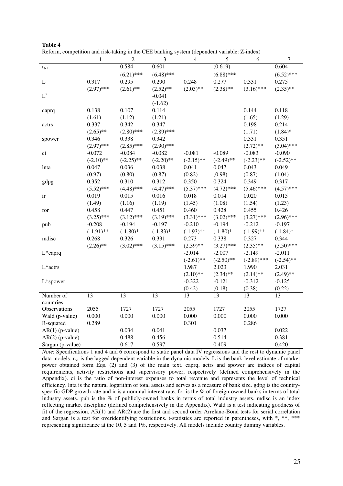| reform, competition and risk taking in the CEE banking system (dependent variable: E mu |                 |                |                 |              |              |               |                |
|-----------------------------------------------------------------------------------------|-----------------|----------------|-----------------|--------------|--------------|---------------|----------------|
|                                                                                         | $\mathbf{1}$    | $\overline{2}$ | $\mathfrak{Z}$  | 4            | $\sqrt{5}$   | 6             | $\overline{7}$ |
| $r_{t-1}$                                                                               |                 | 0.584          | 0.601           |              | (0.619)      |               | 0.604          |
|                                                                                         |                 | $(6.21)$ ***   | $(6.48)$ ***    |              | $(6.88)$ *** |               | $(6.52)$ ***   |
| L                                                                                       | 0.317           | 0.295          | 0.290           | 0.248        | 0.277        | 0.331         | 0.275          |
|                                                                                         | $(2.97)$ ***    | $(2.61)$ **    | $(2.52)$ **     | $(2.03)$ **  | $(2.38)$ **  | $(3.16)$ ***  | $(2.35)$ **    |
| $\mbox{L}^2$                                                                            |                 |                | $-0.041$        |              |              |               |                |
|                                                                                         |                 |                | $(-1.62)$       |              |              |               |                |
| caprq                                                                                   | 0.138           | 0.107          | 0.114           |              |              | 0.144         | 0.118          |
|                                                                                         | (1.61)          | (1.12)         | (1.21)          |              |              | (1.65)        | (1.29)         |
| actrs                                                                                   | 0.337           | 0.342          | 0.347           |              |              | 0.198         | 0.214          |
|                                                                                         | $(2.65)$ **     | $(2.80)$ ***   | $(2.89)$ ***    |              |              | (1.71)        | $(1.84)$ *     |
| spower                                                                                  | 0.346           | 0.338          | 0.342           |              |              | 0.331         | 0.351          |
|                                                                                         | $(2.97)$ ***    | $(2.85)$ ***   | $(2.90)$ ***    |              |              | $(2.72)$ **   | $(3.04)$ ***   |
| ci                                                                                      | $-0.072$        | $-0.084$       | $-0.082$        | $-0.081$     | $-0.089$     | $-0.083$      | $-0.090$       |
|                                                                                         | $(-2.10)$ **    | $(-2.25)$ **   | $(-2.20)$ **    | $(-2.15)$ ** | $(-2.49)$ ** | $(-2.23)$ **  | $(-2.52)$ **   |
| lnta                                                                                    | 0.047           | 0.036          | 0.038           | 0.041        | 0.047        | 0.043         | 0.049          |
|                                                                                         | (0.97)          | (0.80)         | (0.87)          | (0.82)       | (0.98)       | (0.87)        | (1.04)         |
| gdpg                                                                                    | 0.352           | 0.310          | 0.312           | 0.350        | 0.324        | 0.349         | 0.317          |
|                                                                                         | $(5.52)$ ***    | $(4.48)$ ***   | $(4.47)$ ***    | $(5.37)$ *** | $(4.72)$ *** | $(5.46)$ ***  | $(4.57)$ ***   |
| ir                                                                                      | 0.019           | 0.015          | 0.016           | 0.018        | 0.014        | 0.020         | 0.015          |
|                                                                                         | (1.49)          | (1.16)         | (1.19)          | (1.45)       | (1.08)       | (1.54)        | (1.23)         |
| for                                                                                     | 0.458           | 0.447          | 0.451           | 0.460        | 0.428        | 0.455         | 0.426          |
|                                                                                         | $(3.25)$ ***    | $(3.12)$ ***   | $(3.19)$ ***    | $(3.31)$ *** | $(3.02)$ *** | $(3.27)$ ***  | $(2.96)$ ***   |
| pub                                                                                     | $-0.208$        | $-0.194$       | $-0.197$        | $-0.210$     | $-0.194$     | $-0.212$      | $-0.197$       |
|                                                                                         | $(-1.91)$ **    | $(-1.80)$ *    | $(-1.83)*$      | $(-1.93)$ ** | $(-1.80)*$   | $(-1.99)$ **  | $(-1.84)$ *    |
| mdisc                                                                                   | 0.268           | 0.326          | 0.331           | 0.273        | 0.338        | 0.327         | 0.344          |
|                                                                                         | $(2.26)$ **     | $(3.02)$ ***   | $(3.15)$ ***    | $(2.39)$ **  | $(3.27)$ *** | $(2.35)$ **   | $(3.50)$ ***   |
| L*caprq                                                                                 |                 |                |                 | $-2.014$     | $-2.007$     | $-2.149$      | $-2.011$       |
|                                                                                         |                 |                |                 | $(-2.61)$ ** | $(-2.50)$ ** | $(-2.89)$ *** | $(-2.54)$ **   |
| L*actrs                                                                                 |                 |                |                 | 1.987        | 2.023        | 1.990         | 2.031          |
|                                                                                         |                 |                |                 | $(2.10)$ **  | $(2.34)$ **  | $(2.14)$ **   | $(2.49)$ **    |
| L*spower                                                                                |                 |                |                 | $-0.322$     | $-0.121$     | $-0.312$      | $-0.125$       |
|                                                                                         |                 |                |                 | (0.42)       | (0.18)       | (0.38)        | (0.22)         |
| Number of                                                                               | $\overline{13}$ | 13             | $\overline{13}$ | 13           | 13           | 13            | 13             |
| countries                                                                               |                 |                |                 |              |              |               |                |
| Observations                                                                            | 2055            | 1727           | 1727            | 2055         | 1727         | 2055          | 1727           |
| Wald (p-value)                                                                          | 0.000           | 0.000          | 0.000           | 0.000        | 0.000        | 0.000         | 0.000          |
| R-squared                                                                               | 0.289           |                |                 | 0.301        |              | 0.286         |                |
| $AR(1)$ (p-value)                                                                       |                 | 0.034          | 0.041           |              | 0.037        |               | 0.022          |
| $AR(2)$ (p-value)                                                                       |                 | 0.488          | 0.456           |              | 0.514        |               | 0.381          |
| Sargan (p-value)                                                                        |                 | 0.617          | 0.597           |              | 0.409        |               | 0.420          |

| Table 4 |                                                                                             |  |  |
|---------|---------------------------------------------------------------------------------------------|--|--|
|         | Reform, competition and risk-taking in the CEE banking system (dependent variable: Z-index) |  |  |

*Note*: Specifications 1 and 4 and 6 correspond to static panel data IV regressions and the rest to dynamic panel data models.  $r_{t-1}$  is the lagged dependent variable in the dynamic models. L is the bank-level estimate of market power obtained form Eqs. (2) and (3) of the main text. caprq, actrs and spower are indices of capital requirements, activity restrictions and supervisory power, respectively (defined comprehensively in the Appendix). ci is the ratio of non-interest expenses to total revenue and represents the level of technical efficiency. lnta is the natural logarithm of total assets and serves as a measure of bank size. gdpg is the countryspecific GDP growth rate and ir is a nominal interest rate. for is the % of foreign-owned banks in terms of total industry assets. pub is the % of publicly-owned banks in terms of total industry assets. mdisc is an index reflecting market discipline (defined comprehensively in the Appendix). Wald is a test indicating goodness of fit of the regression, AR(1) and AR(2) are the first and second order Arrelano-Bond tests for serial correlation and Sargan is a test for overidentifying restrictions. t-statistics are reported in parentheses, with \*, \*\*, \*\*\* representing significance at the 10, 5 and 1%, respectively. All models include country dummy variables.